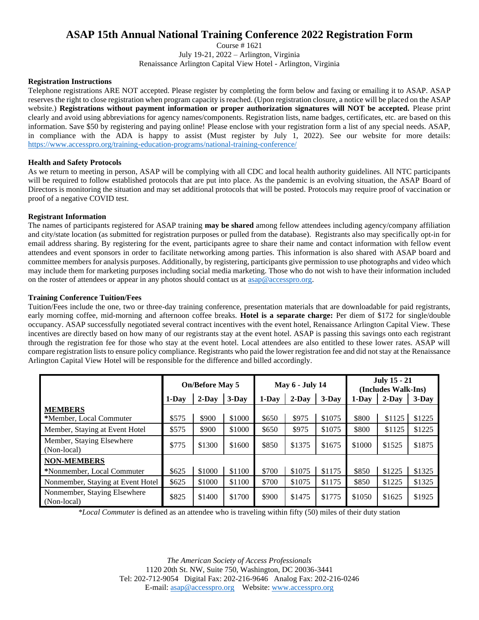# **ASAP 15th Annual National Training Conference 2022 Registration Form**

Course # 1621

July 19-21, 2022 – Arlington, Virginia

Renaissance Arlington Capital View Hotel - Arlington, Virginia

#### **Registration Instructions**

Telephone registrations ARE NOT accepted. Please register by completing the form below and faxing or emailing it to ASAP. ASAP reserves the right to close registration when program capacity is reached. (Upon registration closure, a notice will be placed on the ASAP website.) **Registrations without payment information or proper authorization signatures will NOT be accepted.** Please print clearly and avoid using abbreviations for agency names/components. Registration lists, name badges, certificates, etc. are based on this information. Save \$50 by registering and paying online! Please enclose with your registration form a list of any special needs. ASAP, in compliance with the ADA is happy to assist (Must register by July 1, 2022). See our website for more details: <https://www.accesspro.org/training-education-programs/national-training-conference/>

#### **Health and Safety Protocols**

As we return to meeting in person, ASAP will be complying with all CDC and local health authority guidelines. All NTC participants will be required to follow established protocols that are put into place. As the pandemic is an evolving situation, the ASAP Board of Directors is monitoring the situation and may set additional protocols that will be posted. Protocols may require proof of vaccination or proof of a negative COVID test.

#### **Registrant Information**

The names of participants registered for ASAP training **may be shared** among fellow attendees including agency/company affiliation and city/state location (as submitted for registration purposes or pulled from the database). Registrants also may specifically opt-in for email address sharing. By registering for the event, participants agree to share their name and contact information with fellow event attendees and event sponsors in order to facilitate networking among parties. This information is also shared with ASAP board and committee members for analysis purposes. Additionally, by registering, participants give permission to use photographs and video which may include them for marketing purposes including social media marketing. Those who do not wish to have their information included on the roster of attendees or appear in any photos should contact us at [asap@accesspro.org.](mailto:asap@accesspro.org)

#### **Training Conference Tuition/Fees**

Tuition/Fees include the one, two or three-day training conference, presentation materials that are downloadable for paid registrants, early morning coffee, mid-morning and afternoon coffee breaks. **Hotel is a separate charge:** Per diem of \$172 for single/double occupancy. ASAP successfully negotiated several contract incentives with the event hotel, Renaissance Arlington Capital View. These incentives are directly based on how many of our registrants stay at the event hotel. ASAP is passing this savings onto each registrant through the registration fee for those who stay at the event hotel. Local attendees are also entitled to these lower rates. ASAP will compare registration lists to ensure policy compliance. Registrants who paid the lower registration fee and did not stay at the Renaissance Arlington Capital View Hotel will be responsible for the difference and billed accordingly.

|                                             | <b>On/Before May 5</b> |          |          | <b>May 6 - July 14</b> |          |         | <b>July 15 - 21</b><br>(Includes Walk-Ins) |          |          |
|---------------------------------------------|------------------------|----------|----------|------------------------|----------|---------|--------------------------------------------|----------|----------|
|                                             | 1-Day                  | $2$ -Day | $3$ -Day | $1-Dav$                | $2$ -Day | $3-Dav$ | 1-Dav                                      | $2$ -Day | $3$ -Day |
| <b>MEMBERS</b>                              |                        |          |          |                        |          |         |                                            |          |          |
| *Member, Local Commuter                     | \$575                  | \$900    | \$1000   | \$650                  | \$975    | \$1075  | \$800                                      | \$1125   | \$1225   |
| Member, Staying at Event Hotel              | \$575                  | \$900    | \$1000   | \$650                  | \$975    | \$1075  | \$800                                      | \$1125   | \$1225   |
| Member, Staying Elsewhere<br>(Non-local)    | \$775                  | \$1300   | \$1600   | \$850                  | \$1375   | \$1675  | \$1000                                     | \$1525   | \$1875   |
| <b>NON-MEMBERS</b>                          |                        |          |          |                        |          |         |                                            |          |          |
| *Nonmember, Local Commuter                  | \$625                  | \$1000   | \$1100   | \$700                  | \$1075   | \$1175  | \$850                                      | \$1225   | \$1325   |
| Nonmember, Staying at Event Hotel           | \$625                  | \$1000   | \$1100   | \$700                  | \$1075   | \$1175  | \$850                                      | \$1225   | \$1325   |
| Nonmember, Staying Elsewhere<br>(Non-local) | \$825                  | \$1400   | \$1700   | \$900                  | \$1475   | \$1775  | \$1050                                     | \$1625   | \$1925   |

*\*Local Commuter* is defined as an attendee who is traveling within fifty (50) miles of their duty station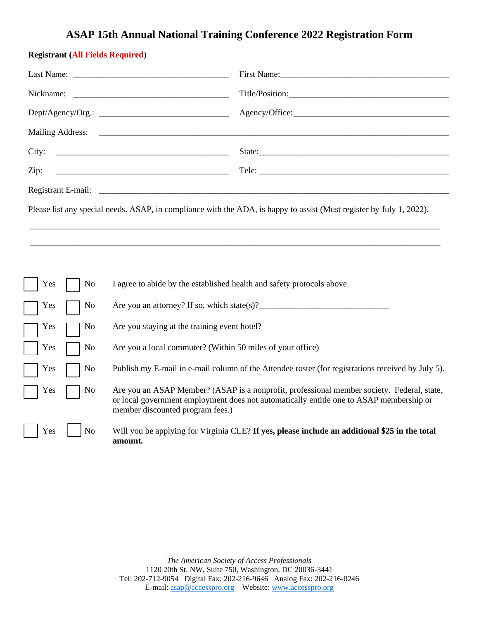### **ASAP 15th Annual National Training Conference 2022 Registration Form**

### **Registrant (All Fields Required**)

|                                | Nickname: $\frac{1}{\sqrt{1-\frac{1}{2}}\sqrt{1-\frac{1}{2}}\sqrt{1-\frac{1}{2}}\sqrt{1-\frac{1}{2}}\sqrt{1-\frac{1}{2}}\sqrt{1-\frac{1}{2}}\sqrt{1-\frac{1}{2}}\sqrt{1-\frac{1}{2}}\sqrt{1-\frac{1}{2}}\sqrt{1-\frac{1}{2}}\sqrt{1-\frac{1}{2}}\sqrt{1-\frac{1}{2}}\sqrt{1-\frac{1}{2}}\sqrt{1-\frac{1}{2}}\sqrt{1-\frac{1}{2}}\sqrt{1-\frac{1}{2}}\sqrt{1-\frac{1}{2}}\sqrt{1-\frac{1}{2}}\sqrt{1-\frac{$ |                                                                                                                           |  |  |  |  |
|--------------------------------|-------------------------------------------------------------------------------------------------------------------------------------------------------------------------------------------------------------------------------------------------------------------------------------------------------------------------------------------------------------------------------------------------------------|---------------------------------------------------------------------------------------------------------------------------|--|--|--|--|
|                                |                                                                                                                                                                                                                                                                                                                                                                                                             | Agency/Office:                                                                                                            |  |  |  |  |
|                                |                                                                                                                                                                                                                                                                                                                                                                                                             |                                                                                                                           |  |  |  |  |
| City:                          |                                                                                                                                                                                                                                                                                                                                                                                                             | State:                                                                                                                    |  |  |  |  |
| Zip:                           |                                                                                                                                                                                                                                                                                                                                                                                                             |                                                                                                                           |  |  |  |  |
|                                |                                                                                                                                                                                                                                                                                                                                                                                                             |                                                                                                                           |  |  |  |  |
|                                | Please list any special needs. ASAP, in compliance with the ADA, is happy to assist (Must register by July 1, 2022).                                                                                                                                                                                                                                                                                        |                                                                                                                           |  |  |  |  |
|                                |                                                                                                                                                                                                                                                                                                                                                                                                             |                                                                                                                           |  |  |  |  |
|                                |                                                                                                                                                                                                                                                                                                                                                                                                             |                                                                                                                           |  |  |  |  |
|                                |                                                                                                                                                                                                                                                                                                                                                                                                             |                                                                                                                           |  |  |  |  |
| Yes<br>No                      | I agree to abide by the established health and safety protocols above.                                                                                                                                                                                                                                                                                                                                      |                                                                                                                           |  |  |  |  |
| No<br>Yes                      |                                                                                                                                                                                                                                                                                                                                                                                                             |                                                                                                                           |  |  |  |  |
| N <sub>0</sub><br>Yes          | Are you staying at the training event hotel?                                                                                                                                                                                                                                                                                                                                                                |                                                                                                                           |  |  |  |  |
| Yes<br>No                      | Are you a local commuter? (Within 50 miles of your office)                                                                                                                                                                                                                                                                                                                                                  |                                                                                                                           |  |  |  |  |
| N <sub>o</sub><br>Yes          | Publish my E-mail in e-mail column of the Attendee roster (for registrations received by July 5).                                                                                                                                                                                                                                                                                                           |                                                                                                                           |  |  |  |  |
| $\mathbf{X}^T$<br>$\mathbf{N}$ |                                                                                                                                                                                                                                                                                                                                                                                                             | $\Lambda$ as seen in $\Lambda$ CAD $\Lambda$ and $\Lambda$ CACAD is a semi-fit and extended as well as a state. Evaluated |  |  |  |  |

| Yes |  | N <sub>0</sub> | Are you an ASAP Member? (ASAP is a nonprofit, professional member society. Federal, state,                                  |
|-----|--|----------------|-----------------------------------------------------------------------------------------------------------------------------|
|     |  |                | or local government employment does not automatically entitle one to ASAP membership or<br>member discounted program fees.) |
|     |  |                |                                                                                                                             |

Yes **No** Will you be applying for Virginia CLE? If yes, please include an additional \$25 in the total **amount.**